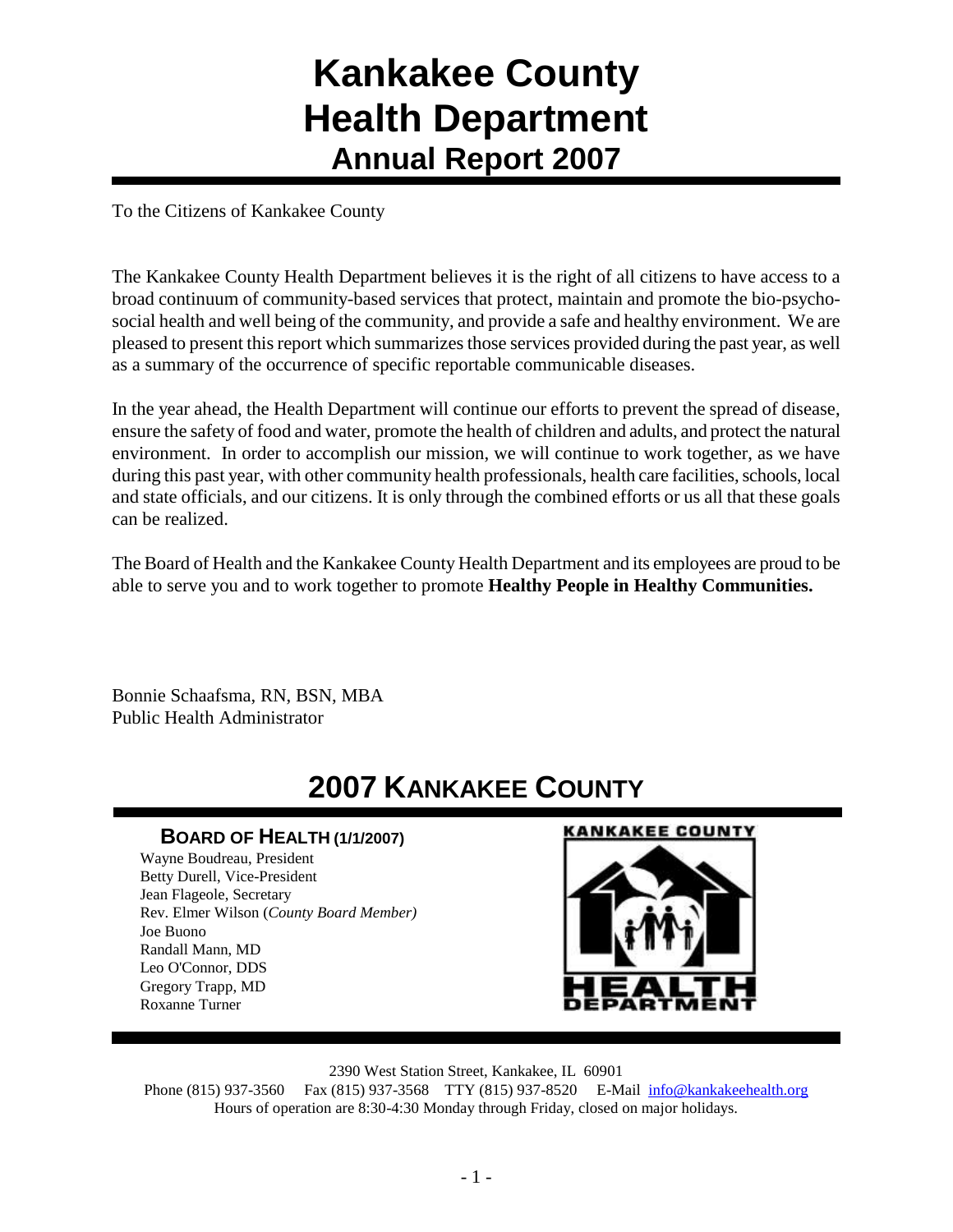## **Kankakee County Health Department Annual Report 2007**

To the Citizens of Kankakee County

The Kankakee County Health Department believes it is the right of all citizens to have access to a broad continuum of community-based services that protect, maintain and promote the bio-psychosocial health and well being of the community, and provide a safe and healthy environment. We are pleased to present this report which summarizes those services provided during the past year, as well as a summary of the occurrence of specific reportable communicable diseases.

In the year ahead, the Health Department will continue our efforts to prevent the spread of disease, ensure the safety of food and water, promote the health of children and adults, and protect the natural environment. In order to accomplish our mission, we will continue to work together, as we have during this past year, with other community health professionals, health care facilities, schools, local and state officials, and our citizens. It is only through the combined efforts or us all that these goals can be realized.

The Board of Health and the Kankakee County Health Department and its employees are proud to be able to serve you and to work together to promote **Healthy People in Healthy Communities.**

Bonnie Schaafsma, RN, BSN, MBA Public Health Administrator

## **2007 KANKAKEE COUNTY**

#### **BOARD OF HEALTH (1/1/2007)**

Wayne Boudreau, President Betty Durell, Vice-President Jean Flageole, Secretary Rev. Elmer Wilson (*County Board Member)* Joe Buono Randall Mann, MD Leo O'Connor, DDS Gregory Trapp, MD Roxanne Turner

#### **KANKAKEE COUNTY**



2390 West Station Street, Kankakee, IL 60901

Phone (815) 937-3560 Fax (815) 937-3568 TTY (815) 937-8520 E-Mail [info@kankakeehealth.org](mailto:pkankake@idphnet.com) Hours of operation are 8:30-4:30 Monday through Friday, closed on major holidays.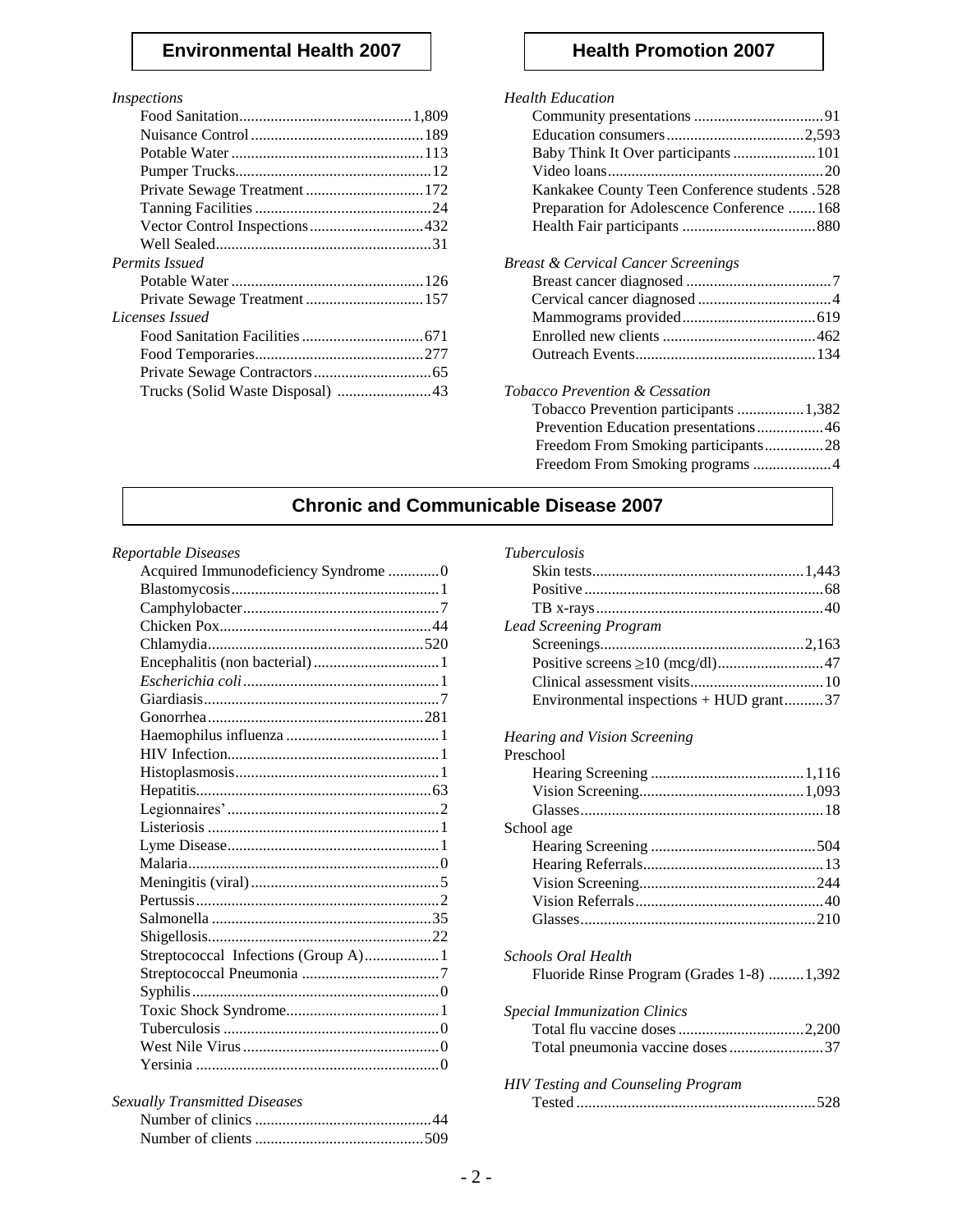#### **Environmental Health 2007** | **Health Promotion 2007**

#### *Inspections*

| Private Sewage Treatment  172 |  |
|-------------------------------|--|
|                               |  |
|                               |  |
|                               |  |
| <b>Permits Issued</b>         |  |
|                               |  |
|                               |  |
| Licenses Issued               |  |
|                               |  |
|                               |  |
|                               |  |
|                               |  |
|                               |  |

#### *Health Education*

| Baby Think It Over participants  101          |
|-----------------------------------------------|
|                                               |
| Kankakee County Teen Conference students .528 |
| Preparation for Adolescence Conference 168    |
|                                               |
| Breast & Cervical Cancer Screenings           |
|                                               |
|                                               |
|                                               |
|                                               |
|                                               |
| Tobacco Prevention & Cessation                |
| Tobacco Prevention participants  1,382        |
| Prevention Education presentations46          |
| Freedom From Smoking participants28           |
|                                               |
|                                               |

#### **Chronic and Communicable Disease 2007**

#### *Reportable Diseases*

| Acquired Immunodeficiency Syndrome 0 |  |
|--------------------------------------|--|
|                                      |  |
|                                      |  |
|                                      |  |
|                                      |  |
|                                      |  |
|                                      |  |
|                                      |  |
|                                      |  |
|                                      |  |
|                                      |  |
|                                      |  |
|                                      |  |
|                                      |  |
|                                      |  |
|                                      |  |
|                                      |  |
|                                      |  |
|                                      |  |
|                                      |  |
|                                      |  |
| Streptococcal Infections (Group A)1  |  |
|                                      |  |
|                                      |  |
|                                      |  |
|                                      |  |
|                                      |  |
|                                      |  |
|                                      |  |
| Sexually Transmitted Diseases        |  |

| <b>Sexually Transmitted Diseases</b> |  |
|--------------------------------------|--|
|                                      |  |
|                                      |  |

#### *Tuberculosis*

| <b>Lead Screening Program</b>           |  |
|-----------------------------------------|--|
|                                         |  |
|                                         |  |
|                                         |  |
| Environmental inspections + HUD grant37 |  |
|                                         |  |

#### *Hearing and Vision Screening*

| Preschool                                  |
|--------------------------------------------|
|                                            |
|                                            |
|                                            |
| School age                                 |
|                                            |
|                                            |
|                                            |
|                                            |
|                                            |
| Schools Oral Health                        |
| Fluoride Rinse Program (Grades 1-8) 1,392  |
| <i><b>Special Immunization Clinics</b></i> |
|                                            |
| Total pneumonia vaccine doses37            |
| <b>HIV Testing and Counseling Program</b>  |
|                                            |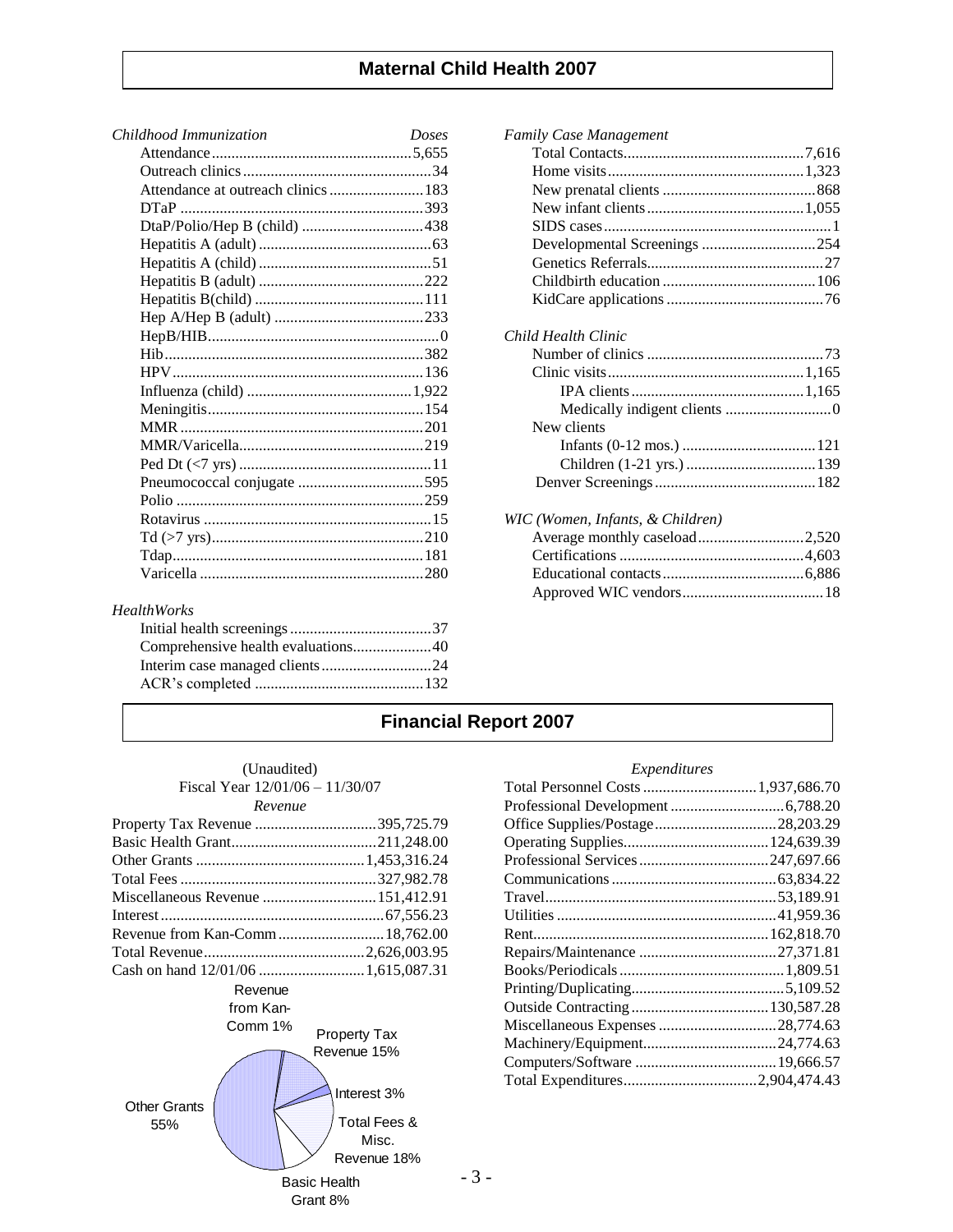#### **Maternal Child Health 2007**

| Childhood Immunization              | Doses |
|-------------------------------------|-------|
|                                     |       |
|                                     |       |
| Attendance at outreach clinics  183 |       |
|                                     |       |
|                                     |       |
|                                     |       |
|                                     |       |
|                                     |       |
|                                     |       |
|                                     |       |
|                                     |       |
|                                     |       |
|                                     |       |
|                                     |       |
|                                     |       |
|                                     |       |
|                                     |       |
|                                     |       |
|                                     |       |
|                                     |       |
|                                     |       |
|                                     |       |
|                                     |       |
|                                     |       |
|                                     |       |

#### *HealthWorks*

| Comprehensive health evaluations40 |  |
|------------------------------------|--|
|                                    |  |
|                                    |  |
|                                    |  |

| <b>Family Case Management</b>  |  |
|--------------------------------|--|
|                                |  |
|                                |  |
|                                |  |
|                                |  |
|                                |  |
| Developmental Screenings 254   |  |
|                                |  |
|                                |  |
|                                |  |
| Child Health Clinic            |  |
|                                |  |
|                                |  |
|                                |  |
|                                |  |
| New clients                    |  |
|                                |  |
|                                |  |
|                                |  |
| WIC (Women Infants & Children) |  |

| NIC (Women, Infants, & Children) |  |
|----------------------------------|--|
|                                  |  |
|                                  |  |
|                                  |  |
|                                  |  |

### **Financial Report 2007**

|  | (Unaudited)                     |
|--|---------------------------------|
|  | Fiscal Year 12/01/06 – 11/30/07 |
|  | $D_{quark}$                     |

| $\mathcal{R}$ <i>revenue</i>      |  |
|-----------------------------------|--|
|                                   |  |
|                                   |  |
|                                   |  |
|                                   |  |
| Miscellaneous Revenue  151,412.91 |  |
|                                   |  |
|                                   |  |
|                                   |  |
|                                   |  |
|                                   |  |

#### Revenue from Kan-



#### *Expenditures*

| Office Supplies/Postage28,203.29 |  |
|----------------------------------|--|
|                                  |  |
|                                  |  |
|                                  |  |
|                                  |  |
|                                  |  |
|                                  |  |
|                                  |  |
|                                  |  |
|                                  |  |
|                                  |  |
|                                  |  |
|                                  |  |
|                                  |  |
| Total Expenditures2,904,474.43   |  |

- 3 -